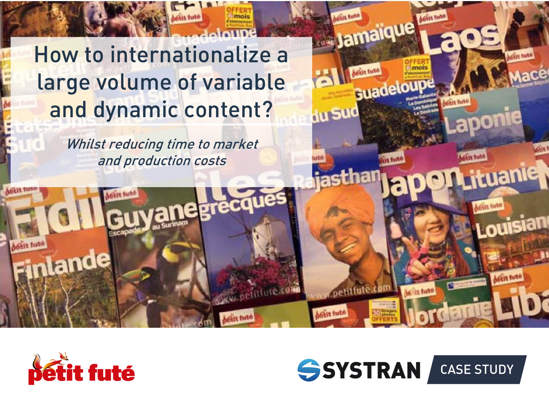# How to internationalize a large volume of variable and dynamic content?

Whilst reducing time to market and production costs







huan

Jamaique

Guade

**Au Sud**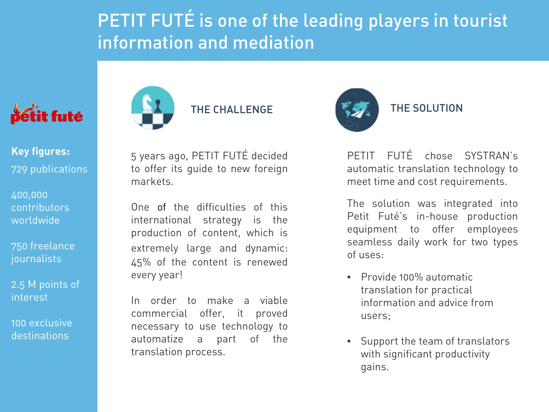# PETIT FUTÉ is one of the leading players in tourist information and mediation



**Key figures:** 729 publications

400,000 contributors worldwide

750 freelance journalists

2.5 M points of interest

100 exclusive destinations



THE CHALL ENGE

5 years ago, PETIT FUTÉ decided to offer its guide to new foreign markets.

One of the difficulties of this international strategy is the production of content, which is extremely large and dynamic: 45% of the content is renewed every year!

In order to make a viable commercial offer, it proved necessary to use technology to automatize a part of the translation process.



#### THE SOLUTION

PETIT FUTÉ chose SYSTRAN's automatic translation technology to meet time and cost requirements.

The solution was integrated into Petit Futé's in-house production equipment to offer employees seamless daily work for two types of uses:

- Provide 100% automatic translation for practical information and advice from users;
- Support the team of translators with significant productivity gains.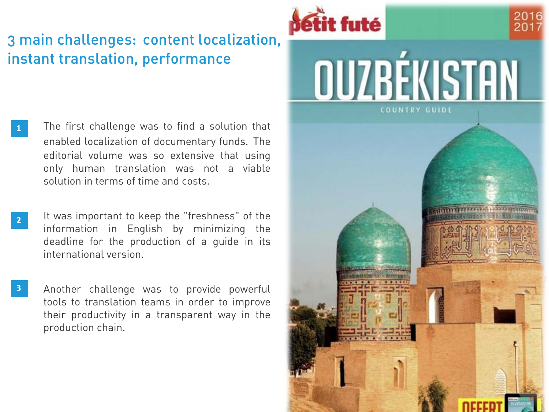### 3 main challenges: content localization, instant translation, performance

- The first challenge was to find a solution that enabled localization of documentary funds. The editorial volume was so extensive that using only human translation was not a viable solution in terms of time and costs. **1**
	- It was important to keep the "freshness" of the information in English by minimizing the deadline for the production of a guide in its international version.

**2**

Another challenge was to provide powerful tools to translation teams in order to improve their productivity in a transparent way in the production chain. **3**

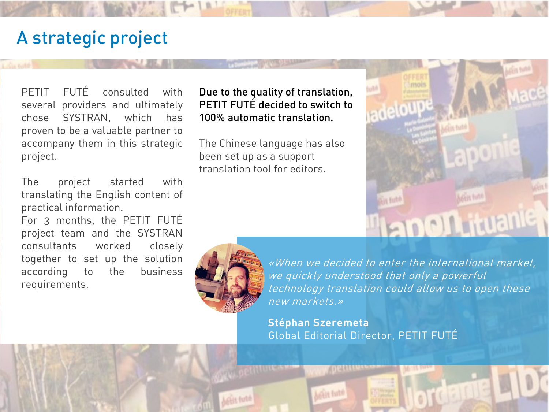# A strategic project

PETIT FUTÉ consulted with several providers and ultimately chose SYSTRAN, which has proven to be a valuable partner to accompany them in this strategic project.

The project started with translating the English content of practical information.

For 3 months, the PETIT FUTÉ project team and the SYSTRAN consultants worked closely together to set up the solution according to the business requirements.

Due to the quality of translation, PETIT FUT**É** decided to switch to 100% automatic translation.

The Chinese language has also been set up as a support translation tool for editors.



«When we decided to enter the international market, we quickly understood that only a powerful technology translation could allow us to open these new markets.»

**noth** ituan

**Stéphan Szeremeta** Global Editorial Director, PETIT FUTÉ

**Cale Ball**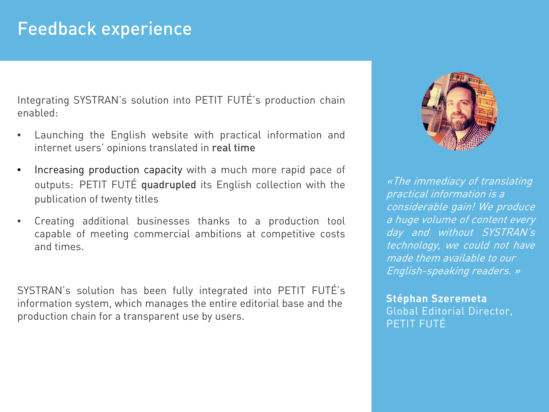## Feedback experience

Integrating SYSTRAN's solution into PETIT FUTÉ's production chain enabled:

- Launching the English website with practical information and internet users' opinions translated in real time
- Increasing production capacity with a much more rapid pace of outputs: PETIT FUTÉ quadrupled its English collection with the publication of twenty titles
- Creating additional businesses thanks to a production tool capable of meeting commercial ambitions at competitive costs and times.

SYSTRAN's solution has been fully integrated into PETIT FUTÉ's information system, which manages the entire editorial base and the production chain for a transparent use by users.



«The immediacy of translating practical information is <sup>a</sup> considerable gain! We produce <sup>a</sup> huge volume of content every day and without SYSTRAN's technology, we could not have made them available to our English-speaking readers. »

**Stéphan Szeremeta** Global Editorial Director, PETIT FUTÉ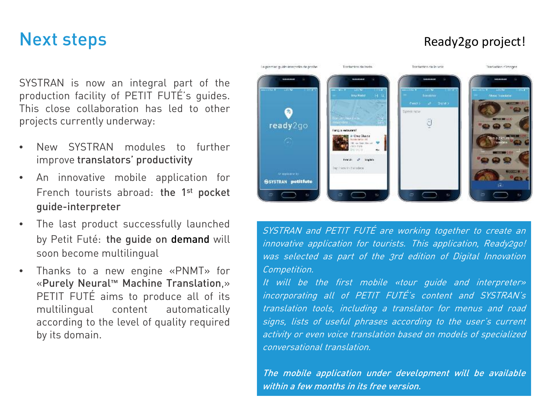### Next steps

SYSTRAN is now an integral part of the production facility of PETIT FUTÉ's guides. This close collaboration has led to other projects currently underway:

- New SYSTRAN modules to further improve translators' productivity
- An innovative mobile application for French tourists abroad: the 1<sup>st</sup> pocket guide-interpreter
- The last product successfully launched by Petit Futé: the quide on demand will soon become multilingual
- Thanks to a new engine «PNMT» for «Purely Neural™ Machine Translation,» PETIT FUTÉ aims to produce all of its multilingual content automatically according to the level of quality required by its domain.

#### Le promise quide-imagentie de poche Traduction de trede. Institucion de la voix Traduction climages **His Park Greek richt** a ready2go diam. of some **Hexito Extending** to application by SSYSTRAN petitfute

SYSTRAN and PETIT FUTÉ are working together to create an innovative application for tourists. This application, Ready2go! was selected as part of the 3rd edition of Digital Innovation Competition.

It will be the first mobile «tour guide and interpreter» incorporating all of PETIT FUTÉ's content and SYSTRAN's translation tools, including <sup>a</sup> translator for menus and road signs, lists of useful phrases according to the user's current activity or even voice translation based on models of specialized conversational translation.

The mobile application under development will be available within a few months in its free version.

### Ready2go project!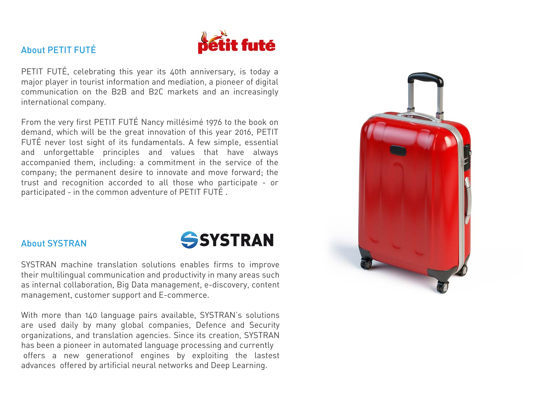

#### About PETIT FUTÉ

PETIT FUTÉ, celebrating this year its 40th anniversary, is today a major player in tourist information and mediation, a pioneer of digital communication on the B2B and B2C markets and an increasingly international company.

From the very first PETIT FUTÉ Nancy millésimé 1976 to the book on demand, which will be the great innovation of this year 2016, PETIT FUTÉ never lost sight of its fundamentals. A few simple, essential and unforgettable principles and values that have always accompanied them, including: a commitment in the service of the company; the permanent desire to innovate and move forward; the trust and recognition accorded to all those who participate - or participated - in the common adventure of PETIT FUTÉ .





SYSTRAN machine translation solutions enables firms to improve their multilingual communication and productivity in many areas such as internal collaboration, Big Data management, e-discovery, content management, customer support and E-commerce.

With more than 140 language pairs available, SYSTRAN's solutions are used daily by many global companies, Defence and Security organizations, and translation agencies. Since its creation, SYSTRAN has been a pioneer in automated language processing and currently offers a new generationof engines by exploiting the lastest advances offered by artificial neural networks and Deep Learning.